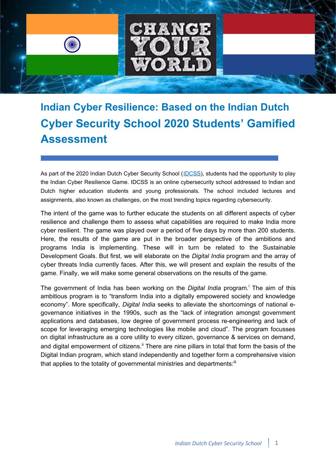

**Indian Cyber Resilience: Based on the Indian Dutch Cyber Security School 2020 Students' Gamified Assessment**

As part of the 2020 Indian Dutch Cyber Security School (IDCSS), students had the opportunity to play the Indian Cyber Resilience Game. IDCSS is an online cybersecurity school addressed to Indian and Dutch higher education students and young professionals. The school included lectures and assignments, also known as challenges, on the most trending topics regarding cybersecurity.

The intent of the game was to further educate the students on all different aspects of cyber resilience and challenge them to assess what capabilities are required to make India more cyber resilient. The game was played over a period of five days by more than 200 students. Here, the results of the game are put in the broader perspective of the ambitions and programs India is implementing. These will in turn be related to the Sustainable Development Goals. But first, we will elaborate on the *Digital India* program and the array of cyber threats India currently faces. After this, we will present and explain the results of the game. Finally, we will make some general observations on the results of the game.

The government of India has been working on the *Digital India* program.<sup>i</sup> The aim of this ambitious program is to "transform India into a digitally empowered society and knowledge economy". More specifically, *Digital India* seeks to alleviate the shortcomings of national egovernance initiatives in the 1990s, such as the "lack of integration amongst government applications and databases, low degree of government process re-engineering and lack of scope for leveraging emerging technologies like mobile and cloud". The program focusses on digital infrastructure as a core utility to every citizen, governance & services on demand, and digital empowerment of citizens.<sup>ii</sup> There are nine pillars in total that form the basis of the Digital Indian program, which stand independently and together form a comprehensive vision that applies to the totality of governmental ministries and departments: $\ddot{u}$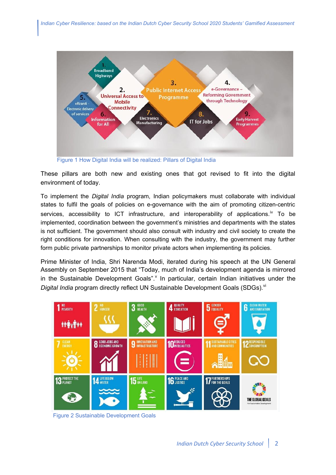

Figure 1 How Digital India will be realized: Pillars of Digital India

These pillars are both new and existing ones that got revised to fit into the digital environment of today.

To implement the *Digital India* program, Indian policymakers must collaborate with individual states to fulfil the goals of policies on e-governance with the aim of promoting citizen-centric services, accessibility to ICT infrastructure, and interoperability of applications.<sup>iv</sup> To be implemented, coordination between the government's ministries and departments with the states is not sufficient. The government should also consult with industry and civil society to create the right conditions for innovation. When consulting with the industry, the government may further form public private partnerships to monitor private actors when implementing its policies.

Prime Minister of India, Shri Narenda Modi, iterated during his speech at the UN General Assembly on September 2015 that "Today, much of India's development agenda is mirrored in the Sustainable Development Goals". In particular, certain Indian initiatives under the *Digital India* program directly reflect UN Sustainable Development Goals (SDGs).<sup>vi</sup>



Figure 2 Sustainable Development Goals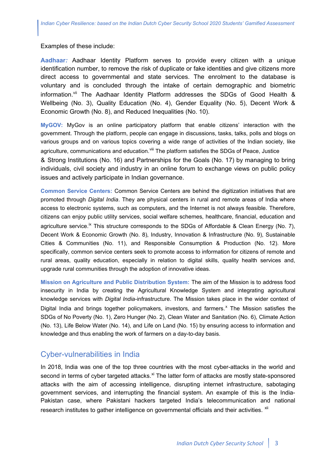#### Examples of these include:

**Aadhaar***:* Aadhaar Identity Platform serves to provide every citizen with a unique identification number, to remove the risk of duplicate or fake identities and give citizens more direct access to governmental and state services. The enrolment to the database is voluntary and is concluded through the intake of certain demographic and biometric information.<sup>vii</sup> The Aadhaar Identity Platform addresses the SDGs of Good Health & Wellbeing (No. 3), Quality Education (No. 4), Gender Equality (No. 5), Decent Work & Economic Growth (No. 8), and Reduced Inequalities (No. 10).

**MyGOV:** MyGov is an online participatory platform that enable citizens' interaction with the government. Through the platform, people can engage in discussions, tasks, talks, polls and blogs on various groups and on various topics covering a wide range of activities of the Indian society, like agriculture, communications and education.<sup>viii</sup> The platform satisfies the SDGs of Peace, Justice & Strong Institutions (No. 16) and Partnerships for the Goals (No. 17) by managing to bring individuals, civil society and industry in an online forum to exchange views on public policy issues and actively participate in Indian governance.

**Common Service Centers:** Common Service Centers are behind the digitization initiatives that are promoted through *Digital India*. They are physical centers in rural and remote areas of India where access to electronic systems, such as computers, and the Internet is not always feasible. Therefore, citizens can enjoy public utility services, social welfare schemes, healthcare, financial, education and agriculture service.<sup>ix</sup> This structure corresponds to the SDGs of Affordable & Clean Energy (No. 7), Decent Work & Economic Growth (No. 8), Industry, Innovation & Infrastructure (No. 9), Sustainable Cities & Communities (No. 11), and Responsible Consumption & Production (No. 12). More specifically, common service centers seek to promote access to information for citizens of remote and rural areas, quality education, especially in relation to digital skills, quality health services and, upgrade rural communities through the adoption of innovative ideas.

**Mission on Agriculture and Public Distribution System:** The aim of the Mission is to address food insecurity in India by creating the Agricultural Knowledge System and integrating agricultural knowledge services with *Digital India*-infrastructure. The Mission takes place in the wider context of Digital India and brings together policymakers, investors, and farmers.<sup>x</sup> The Mission satisfies the SDGs of No Poverty (No. 1), Zero Hunger (No. 2), Clean Water and Sanitation (No. 6), Climate Action (No. 13), Life Below Water (No. 14), and Life on Land (No. 15) by ensuring access to information and knowledge and thus enabling the work of farmers on a day-to-day basis.

### Cyber-vulnerabilities in India

In 2018, India was one of the top three countries with the most cyber-attacks in the world and second in terms of cyber targeted attacks.<sup>xi</sup> The latter form of attacks are mostly state-sponsored attacks with the aim of accessing intelligence, disrupting internet infrastructure, sabotaging government services, and interrupting the financial system. An example of this is the India-Pakistan case, where Pakistani hackers targeted India's telecommunication and national research institutes to gather intelligence on governmental officials and their activities. <sup>xii</sup>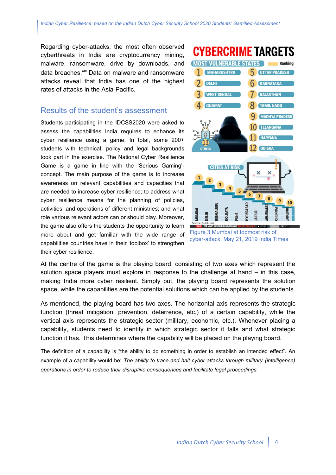Regarding cyber-attacks, the most often observed cyberthreats in India are cryptocurrency mining, malware, ransomware, drive by downloads, and data breaches.<sup>xiii</sup> Data on malware and ransomware attacks reveal that India has one of the highest rates of attacks in the Asia-Pacific.

# Results of the student's assessment

Students participating in the IDCSS2020 were asked to assess the capabilities India requires to enhance its cyber resilience using a game. In total, some 200+ students with technical, policy and legal backgrounds took part in the exercise. The National Cyber Resilience Game is a game in line with the 'Serious Gaming' concept. The main purpose of the game is to increase awareness on relevant capabilities and capacities that are needed to increase cyber resilience; to address what cyber resilience means for the planning of policies, activities, and operations of different ministries; and what role various relevant actors can or should play. Moreover, the game also offers the students the opportunity to learn more about and get familiar with the wide range of capabilities countries have in their 'toolbox' to strengthen their cyber resilience.



cyber-attack, May 21, 2019 India Times

At the centre of the game is the playing board, consisting of two axes which represent the solution space players must explore in response to the challenge at hand – in this case, making India more cyber resilient. Simply put, the playing board represents the solution space, while the capabilities are the potential solutions which can be applied by the students.

As mentioned, the playing board has two axes. The horizontal axis represents the strategic function (threat mitigation, prevention, deterrence, etc.) of a certain capability, while the vertical axis represents the strategic sector (military, economic, etc.). Whenever placing a capability, students need to identify in which strategic sector it falls and what strategic function it has. This determines where the capability will be placed on the playing board.

The definition of a capability is "the ability to do something in order to establish an intended effect". An example of a capability would be: *The ability to trace and halt cyber attacks through military (intelligence) operations in order to reduce their disruptive consequences and facilitate legal proceedings.*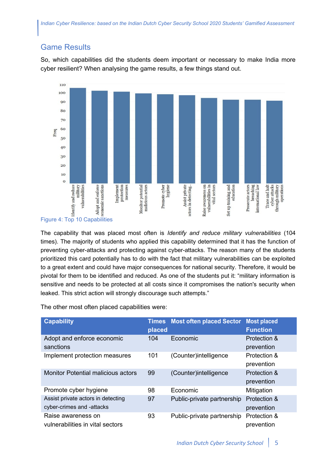# Game Results

So, which capabilities did the students deem important or necessary to make India more cyber resilient? When analysing the game results, a few things stand out.



The capability that was placed most often is *Identify and reduce military vulnerabilities* (104 times). The majority of students who applied this capability determined that it has the function of preventing cyber-attacks and protecting against cyber-attacks. The reason many of the students prioritized this card potentially has to do with the fact that military vulnerabilities can be exploited to a great extent and could have major consequences for national security. Therefore, it would be pivotal for them to be identified and reduced. As one of the students put it: "military information is sensitive and needs to be protected at all costs since it compromises the nation's security when leaked. This strict action will strongly discourage such attempts."

The other most often placed capabilities were:

| <b>Capability</b>                                               | <b>Times</b><br>placed | <b>Most often placed Sector</b> | <b>Most placed</b><br><b>Function</b> |
|-----------------------------------------------------------------|------------------------|---------------------------------|---------------------------------------|
| Adopt and enforce economic<br>sanctions                         | 104                    | Economic                        | Protection &<br>prevention            |
| Implement protection measures                                   | 101                    | (Counter)intelligence           | Protection &<br>prevention            |
| <b>Monitor Potential malicious actors</b>                       | 99                     | (Counter) intelligence          | Protection &<br>prevention            |
| Promote cyber hygiene                                           | 98                     | Economic                        | Mitigation                            |
| Assist private actors in detecting<br>cyber-crimes and -attacks | 97                     | Public-private partnership      | Protection &<br>prevention            |
| Raise awareness on<br>vulnerabilities in vital sectors          | 93                     | Public-private partnership      | Protection &<br>prevention            |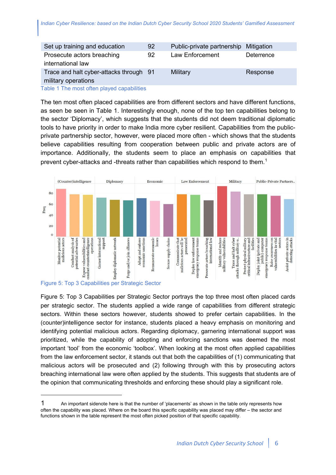| Set up training and education           | 92 | Public-private partnership | Mitigation |
|-----------------------------------------|----|----------------------------|------------|
| Prosecute actors breaching              | 92 | Law Enforcement            | Deterrence |
| international law                       |    |                            |            |
| Trace and halt cyber-attacks through 91 |    | Military                   | Response   |
| military operations                     |    |                            |            |

Table 1 The most often played capabilities

The ten most often placed capabilities are from different sectors and have different functions, as seen be seen in Table 1. Interestingly enough, none of the top ten capabilities belong to the sector 'Diplomacy', which suggests that the students did not deem traditional diplomatic tools to have priority in order to make India more cyber resilient. Capabilities from the publicprivate partnership sector, however, were placed more often - which shows that the students believe capabilities resulting from cooperation between public and private actors are of importance. Additionally, the students seem to place an emphasis on capabilities that prevent cyber-attacks and -threats rather than capabilities which respond to them.<sup>1</sup>



Figure 5: Top 3 Capabilities per Strategic Sector portrays the top three most often placed cards per strategic sector. The students applied a wide range of capabilities from different strategic sectors. Within these sectors however, students showed to prefer certain capabilities. In the (counter)intelligence sector for instance, students placed a heavy emphasis on monitoring and identifying potential malicious actors. Regarding diplomacy, garnering international support was prioritized, while the capability of adopting and enforcing sanctions was deemed the most important 'tool' from the economic 'toolbox'. When looking at the most often applied capabilities from the law enforcement sector, it stands out that both the capabilities of (1) communicating that malicious actors will be prosecuted and (2) following through with this by prosecuting actors breaching international law were often applied by the students. This suggests that students are of the opinion that communicating thresholds and enforcing these should play a significant role.

<sup>1</sup> An important sidenote here is that the number of 'placements' as shown in the table only represents how often the capability was placed. Where on the board this specific capability was placed may differ – the sector and functions shown in the table represent the most often picked position of that specific capability.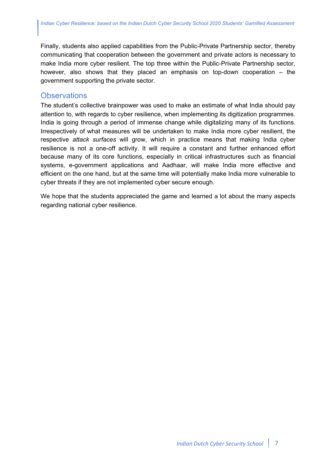Finally, students also applied capabilities from the Public-Private Partnership sector, thereby communicating that cooperation between the government and private actors is necessary to make India more cyber resilient. The top three within the Public-Private Partnership sector, however, also shows that they placed an emphasis on top-down cooperation – the government supporting the private sector.

### **Observations**

The student's collective brainpower was used to make an estimate of what India should pay attention to, with regards to cyber resilience, when implementing its digitization programmes. India is going through a period of immense change while digitalizing many of its functions. Irrespectively of what measures will be undertaken to make India more cyber resilient, the respective *attack surfaces* will grow, which in practice means that making India cyber resilience is not a one-off activity. It will require a constant and further enhanced effort because many of its core functions, especially in critical infrastructures such as financial systems, e-government applications and Aadhaar, will make India more effective and efficient on the one hand, but at the same time will potentially make India more vulnerable to cyber threats if they are not implemented cyber secure enough.

We hope that the students appreciated the game and learned a lot about the many aspects regarding national cyber resilience.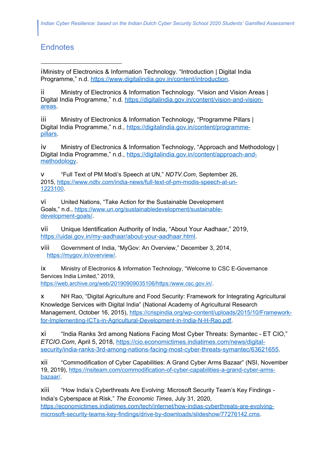# **Endnotes**

iMinistry of Electronics & Information Technology. "Introduction | Digital India Programme," n.d. https://www.digitalindia.gov.in/content/introduction.

ii Ministry of Electronics & Information Technology. "Vision and Vision Areas | Digital India Programme," n.d. https://digitalindia.gov.in/content/vision-and-visionareas.

iii Ministry of Electronics & Information Technology, "Programme Pillars | Digital India Programme," n.d., https://digitalindia.gov.in/content/programmepillars.

iv Ministry of Electronics & Information Technology, "Approach and Methodology | Digital India Programme," n.d., https://digitalindia.gov.in/content/approach-andmethodology.

v "Full Text of PM Modi's Speech at UN," *NDTV.Com*, September 26, 2015, https://www.ndtv.com/india-news/full-text-of-pm-modis-speech-at-un-1223100.

vi United Nations, "Take Action for the Sustainable Development Goals," n.d., https://www.un.org/sustainabledevelopment/sustainabledevelopment-goals/.

vii Unique Identification Authority of India, "About Your Aadhaar," 2019, https://uidai.gov.in/my-aadhaar/about-your-aadhaar.html.

viii Government of India, "MyGov: An Overview," December 3, 2014, https://mygov.in/overview/.

ix Ministry of Electronics & Information Technology, "Welcome to CSC E-Governance Services India Limited," 2019, https://web.archive.org/web/20190909035106/https:/www.csc.gov.in/.

x NH Rao, "Digital Agriculture and Food Security: Framework for Integrating Agricultural Knowledge Services with Digital India" (National Academy of Agricultural Research Management, October 16, 2015), https://crispindia.org/wp-content/uploads/2015/10/Frameworkfor-Implementing-ICTs-in-Agricultural-Development-in-India-N-H-Rao.pdf.

xi "India Ranks 3rd among Nations Facing Most Cyber Threats: Symantec - ET CIO," *ETCIO.Com*, April 5, 2018, https://cio.economictimes.indiatimes.com/news/digitalsecurity/india-ranks-3rd-among-nations-facing-most-cyber-threats-symantec/63621655.

xii "Commodification of Cyber Capabilities: A Grand Cyber Arms Bazaar" (NSI, November 19, 2019), https://nsiteam.com/commodification-of-cyber-capabilities-a-grand-cyber-armsbazaar/.

xiii "How India's Cyberthreats Are Evolving: Microsoft Security Team's Key Findings - India's Cyberspace at Risk," *The Economic Times*, July 31, 2020, https://economictimes.indiatimes.com/tech/internet/how-indias-cyberthreats-are-evolvingmicrosoft-security-teams-key-findings/drive-by-downloads/slideshow/77276142.cms.